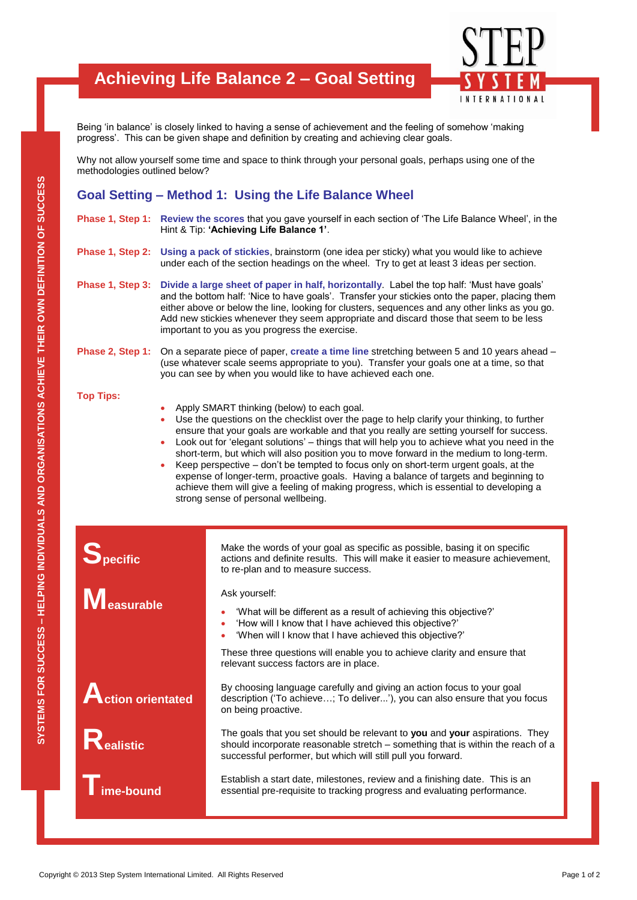## **Achieving Life Balance 2 – Goal Setting**



Being 'in balance' is closely linked to having a sense of achievement and the feeling of somehow 'making progress'. This can be given shape and definition by creating and achieving clear goals.

Why not allow yourself some time and space to think through your personal goals, perhaps using one of the methodologies outlined below?

### **Goal Setting – Method 1: Using the Life Balance Wheel**

- **Phase 1, Step 1: Review the scores** that you gave yourself in each section of 'The Life Balance Wheel', in the Hint & Tip: **'Achieving Life Balance 1'**.
- **Phase 1, Step 2: Using a pack of stickies**, brainstorm (one idea per sticky) what you would like to achieve under each of the section headings on the wheel. Try to get at least 3 ideas per section.
- **Phase 1, Step 3: Divide a large sheet of paper in half, horizontally**. Label the top half: 'Must have goals' and the bottom half: 'Nice to have goals'. Transfer your stickies onto the paper, placing them either above or below the line, looking for clusters, sequences and any other links as you go. Add new stickies whenever they seem appropriate and discard those that seem to be less important to you as you progress the exercise.

#### **Phase 2, Step 1:** On a separate piece of paper, **create a time line** stretching between 5 and 10 years ahead – (use whatever scale seems appropriate to you). Transfer your goals one at a time, so that you can see by when you would like to have achieved each one.

#### **Top Tips:**

- Apply SMART thinking (below) to each goal.
- Use the questions on the checklist over the page to help clarify your thinking, to further ensure that your goals are workable and that you really are setting yourself for success.
- Look out for 'elegant solutions' things that will help you to achieve what you need in the short-term, but which will also position you to move forward in the medium to long-term.
- Keep perspective don't be tempted to focus only on short-term urgent goals, at the expense of longer-term, proactive goals. Having a balance of targets and beginning to achieve them will give a feeling of making progress, which is essential to developing a strong sense of personal wellbeing.

**Specific**

**Measurable**

**Action orientated**

**Realistic**

**Time-bound**

Ask yourself:

to re-plan and to measure success.

- 'What will be different as a result of achieving this objective?'
- 'How will I know that I have achieved this objective?'
- 'When will I know that I have achieved this objective?'

These three questions will enable you to achieve clarity and ensure that relevant success factors are in place.

Make the words of your goal as specific as possible, basing it on specific actions and definite results. This will make it easier to measure achievement,

By choosing language carefully and giving an action focus to your goal description ('To achieve…; To deliver...'), you can also ensure that you focus on being proactive.

Copyright © 2013 Step System International Limited. All Rights Reserved<br>Copyright © 2013 Step System International Limited.<br>The produces Station of To achieve ...; To deliver...;), you can also ensure that you focus<br>and de The goals that you set should be relevant to **you** and **your** aspirations. They should incorporate reasonable stretch – something that is within the reach of a successful performer, but which will still pull you forward.

Establish a start date, milestones, review and a finishing date. This is an essential pre-requisite to tracking progress and evaluating performance.